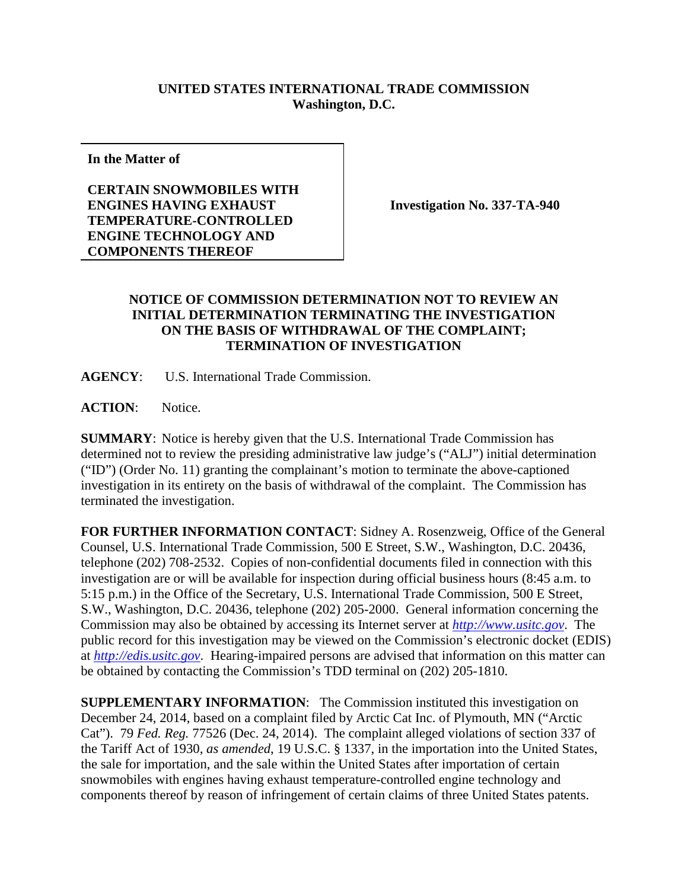## **UNITED STATES INTERNATIONAL TRADE COMMISSION Washington, D.C.**

**In the Matter of**

**CERTAIN SNOWMOBILES WITH ENGINES HAVING EXHAUST TEMPERATURE-CONTROLLED ENGINE TECHNOLOGY AND COMPONENTS THEREOF** 

**Investigation No. 337-TA-940**

## **NOTICE OF COMMISSION DETERMINATION NOT TO REVIEW AN INITIAL DETERMINATION TERMINATING THE INVESTIGATION ON THE BASIS OF WITHDRAWAL OF THE COMPLAINT; TERMINATION OF INVESTIGATION**

**AGENCY**: U.S. International Trade Commission.

**ACTION**: Notice.

**SUMMARY**: Notice is hereby given that the U.S. International Trade Commission has determined not to review the presiding administrative law judge's ("ALJ") initial determination ("ID") (Order No. 11) granting the complainant's motion to terminate the above-captioned investigation in its entirety on the basis of withdrawal of the complaint. The Commission has terminated the investigation.

**FOR FURTHER INFORMATION CONTACT**: Sidney A. Rosenzweig, Office of the General Counsel, U.S. International Trade Commission, 500 E Street, S.W., Washington, D.C. 20436, telephone (202) 708-2532. Copies of non-confidential documents filed in connection with this investigation are or will be available for inspection during official business hours (8:45 a.m. to 5:15 p.m.) in the Office of the Secretary, U.S. International Trade Commission, 500 E Street, S.W., Washington, D.C. 20436, telephone (202) 205-2000. General information concerning the Commission may also be obtained by accessing its Internet server at *[http://www.usitc.gov](http://www.usitc.gov/)*. The public record for this investigation may be viewed on the Commission's electronic docket (EDIS) at *[http://edis.usitc.gov](http://edis.usitc.gov/)*. Hearing-impaired persons are advised that information on this matter can be obtained by contacting the Commission's TDD terminal on (202) 205-1810.

**SUPPLEMENTARY INFORMATION:** The Commission instituted this investigation on December 24, 2014, based on a complaint filed by Arctic Cat Inc. of Plymouth, MN ("Arctic Cat"). 79 *Fed. Reg.* 77526 (Dec. 24, 2014). The complaint alleged violations of section 337 of the Tariff Act of 1930, *as amended*, 19 U.S.C. § 1337, in the importation into the United States, the sale for importation, and the sale within the United States after importation of certain snowmobiles with engines having exhaust temperature-controlled engine technology and components thereof by reason of infringement of certain claims of three United States patents.